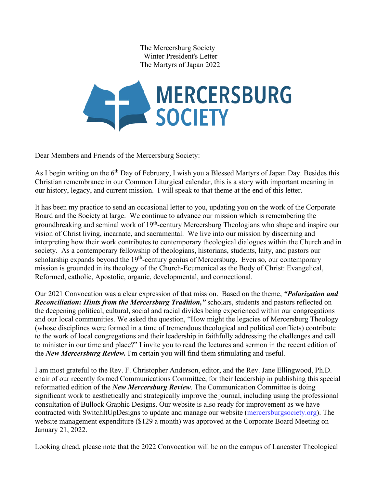The Mercersburg Society Winter President's Letter The Martyrs of Japan 2022



Dear Members and Friends of the Mercersburg Society:

As I begin writing on the 6<sup>th</sup> Day of February, I wish you a Blessed Martyrs of Japan Day. Besides this Christian remembrance in our Common Liturgical calendar, this is a story with important meaning in our history, legacy, and current mission. I will speak to that theme at the end of this letter.

It has been my practice to send an occasional letter to you, updating you on the work of the Corporate Board and the Society at large. We continue to advance our mission which is remembering the groundbreaking and seminal work of 19<sup>th</sup>-century Mercersburg Theologians who shape and inspire our vision of Christ living, incarnate, and sacramental. We live into our mission by discerning and interpreting how their work contributes to contemporary theological dialogues within the Church and in society. As a contemporary fellowship of theologians, historians, students, laity, and pastors our scholarship expands beyond the  $19<sup>th</sup>$ -century genius of Mercersburg. Even so, our contemporary mission is grounded in its theology of the Church-Ecumenical as the Body of Christ: Evangelical, Reformed, catholic, Apostolic, organic, developmental, and connectional.

Our 2021 Convocation was a clear expression of that mission. Based on the theme, *"Polarization and Reconciliation: Hints from the Mercersburg Tradition,"* scholars, students and pastors reflected on the deepening political, cultural, social and racial divides being experienced within our congregations and our local communities. We asked the question, "How might the legacies of Mercersburg Theology (whose disciplines were formed in a time of tremendous theological and political conflicts) contribute to the work of local congregations and their leadership in faithfully addressing the challenges and call to minister in our time and place?" I invite you to read the lectures and sermon in the recent edition of the *New Mercersburg Review.* I'm certain you will find them stimulating and useful.

I am most grateful to the Rev. F. Christopher Anderson, editor, and the Rev. Jane Ellingwood, Ph.D. chair of our recently formed Communications Committee, for their leadership in publishing this special reformatted edition of the *New Mercersburg Review*. The Communication Committee is doing significant work to aesthetically and strategically improve the journal, including using the professional consultation of Bullock Graphic Designs. Our website is also ready for improvement as we have contracted with SwitchItUpDesigns to update and manage our website (mercersburgsociety.org). The website management expenditure (\$129 a month) was approved at the Corporate Board Meeting on January 21, 2022.

Looking ahead, please note that the 2022 Convocation will be on the campus of Lancaster Theological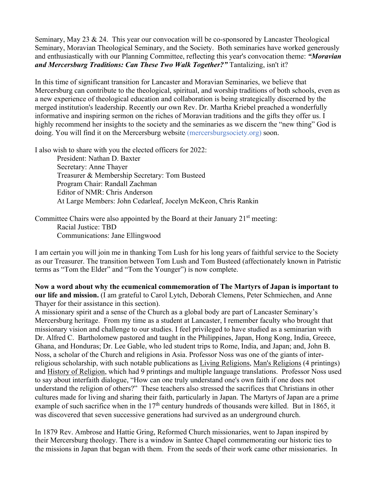Seminary, May 23 & 24. This year our convocation will be co-sponsored by Lancaster Theological Seminary, Moravian Theological Seminary, and the Society. Both seminaries have worked generously and enthusiastically with our Planning Committee, reflecting this year's convocation theme: *"Moravian and Mercersburg Traditions: Can These Two Walk Together?"* Tantalizing, isn't it?

In this time of significant transition for Lancaster and Moravian Seminaries, we believe that Mercersburg can contribute to the theological, spiritual, and worship traditions of both schools, even as a new experience of theological education and collaboration is being strategically discerned by the merged institution's leadership. Recently our own Rev. Dr. Martha Kriebel preached a wonderfully informative and inspiring sermon on the riches of Moravian traditions and the gifts they offer us. I highly recommend her insights to the society and the seminaries as we discern the "new thing" God is doing. You will find it on the Mercersburg website (mercersburgsociety.org) soon.

I also wish to share with you the elected officers for 2022:

President: Nathan D. Baxter Secretary: Anne Thayer Treasurer & Membership Secretary: Tom Busteed Program Chair: Randall Zachman Editor of NMR: Chris Anderson At Large Members: John Cedarleaf, Jocelyn McKeon, Chris Rankin

Committee Chairs were also appointed by the Board at their January 21<sup>st</sup> meeting: Racial Justice: TBD Communications: Jane Ellingwood

I am certain you will join me in thanking Tom Lush for his long years of faithful service to the Society as our Treasurer. The transition between Tom Lush and Tom Busteed (affectionately known in Patristic terms as "Tom the Elder" and "Tom the Younger") is now complete.

**Now a word about why the ecumenical commemoration of The Martyrs of Japan is important to our life and mission.** (I am grateful to Carol Lytch, Deborah Clemens, Peter Schmiechen, and Anne Thayer for their assistance in this section).

A missionary spirit and a sense of the Church as a global body are part of Lancaster Seminary's Mercersburg heritage. From my time as a student at Lancaster, I remember faculty who brought that missionary vision and challenge to our studies. I feel privileged to have studied as a seminarian with Dr. Alfred C. Bartholomew pastored and taught in the Philippines, Japan, Hong Kong, India, Greece, Ghana, and Honduras; Dr. Lee Gable, who led student trips to Rome, India, and Japan; and, John B. Noss, a scholar of the Church and religions in Asia. Professor Noss was one of the giants of interreligious scholarship, with such notable publications as Living Religions, Man's Religions (4 printings) and History of Religion, which had 9 printings and multiple language translations. Professor Noss used to say about interfaith dialogue, "How can one truly understand one's own faith if one does not understand the religion of others?" These teachers also stressed the sacrifices that Christians in other cultures made for living and sharing their faith, particularly in Japan. The Martyrs of Japan are a prime example of such sacrifice when in the  $17<sup>th</sup>$  century hundreds of thousands were killed. But in 1865, it was discovered that seven successive generations had survived as an underground church.

In 1879 Rev. Ambrose and Hattie Gring, Reformed Church missionaries, went to Japan inspired by their Mercersburg theology. There is a window in Santee Chapel commemorating our historic ties to the missions in Japan that began with them. From the seeds of their work came other missionaries. In